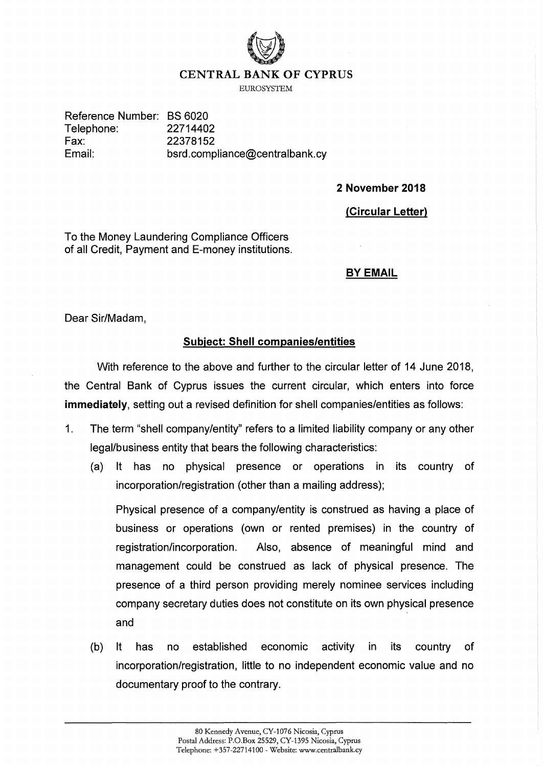

## **CENTRAL BANK OF CYPRUS**

**EUROSYSTEM** 

Reference Number: BS 6020 Telephone: 22714402 Fax: Email:

22378152 bsrd.compliance@centralbank.cy

**2 November 2018** 

**(Circular Letter)** 

To the Money Laundering Compliance Officers of all Credit, Payment and E-money institutions.

## **BY EMAIL**

Dear Sir/Madam,

## **Subject: Shell companies/entities**

With reference to the above and further to the circular letter of 14 June 2018, the Central Bank of Cyprus issues the current circular, which enters into force **immediately,** setting out a revised definition for shell companies/entities as follows:

- 1. The term "shell company/entity" refers to a limited liability company or any other legal/business entity that bears the following characteristics:
	- (a) It has no physical presence or operations in its country of incorporation/registration (other than a mailing address);

Physical presence of a company/entity is construed as having a place of business or operations (own or rented premises) in the country of registration/incorporation. Also, absence of meaningful mind and management could be construed as lack of physical presence. The presence of a third person providing merely nominee services including company secretary duties does not constitute on its own physical presence and

(b) It has no established economic activity in its country of incorporation/registration, little to no independent economic value and no documentary proof to the contrary.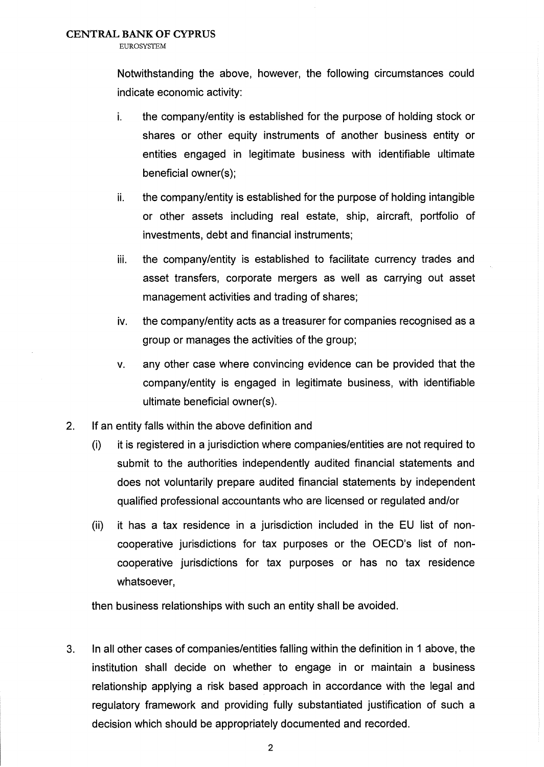**EUROSYSTEM** 

Notwithstanding the above, however, the following circumstances could indicate economic activity:

- i. the company/entity is established for the purpose of holding stock or shares or other equity instruments of another business entity or entities engaged in legitimate business with identifiable ultimate beneficial owner(s);
- ii. the company/entity is established for the purpose of holding intangible or other assets including real estate, ship, aircraft, portfolio of investments, debt and financial instruments;
- iii. the company/entity is established to facilitate currency trades and asset transfers, corporate mergers as well as carrying out asset management activities and trading of shares;
- iv. the company/entity acts as a treasurer for companies recognised as a group or manages the activities of the group;
- v. any other case where convincing evidence can be provided that the company/entity is engaged in legitimate business, with identifiable ultimate beneficial owner(s).
- 2. If an entity falls within the above definition and
	- (i) it is registered in a jurisdiction where companies/entities are not required to submit to the authorities independently audited financial statements and does not voluntarily prepare audited financial statements by independent qualified professional accountants who are licensed or regulated and/or
	- (ii) it has a tax residence in a jurisdiction included in the EU list of noncooperative jurisdictions for tax purposes or the OECD's list of noncooperative jurisdictions for tax purposes or has no tax residence whatsoever,

then business relationships with such an entity shall be avoided.

3. In all other cases of companies/entities falling within the definition in 1 above, the institution shall decide on whether to engage in or maintain a business relationship applying a risk based approach in accordance with the legal and regulatory framework and providing fully substantiated justification of such a decision which should be appropriately documented and recorded.